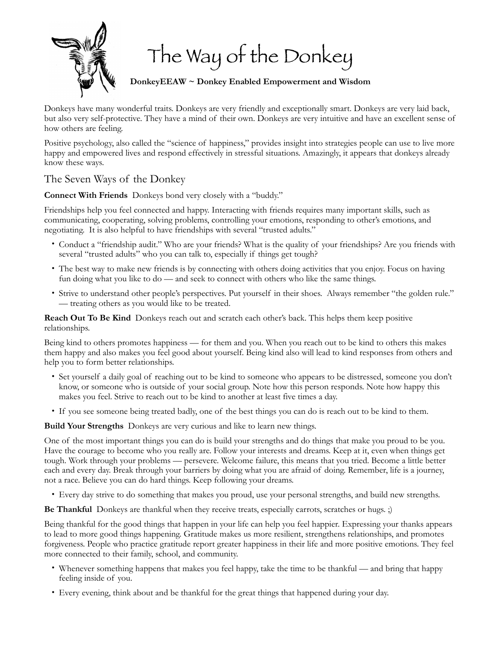

The Way of the Donkey

**DonkeyEEAW ~ Donkey Enabled Empowerment and Wisdom** 

Donkeys have many wonderful traits. Donkeys are very friendly and exceptionally smart. Donkeys are very laid back, but also very self-protective. They have a mind of their own. Donkeys are very intuitive and have an excellent sense of how others are feeling.

Positive psychology, also called the "science of happiness," provides insight into strategies people can use to live more happy and empowered lives and respond effectively in stressful situations. Amazingly, it appears that donkeys already know these ways.

## The Seven Ways of the Donkey

**Connect With Friends** Donkeys bond very closely with a "buddy."

Friendships help you feel connected and happy. Interacting with friends requires many important skills, such as communicating, cooperating, solving problems, controlling your emotions, responding to other's emotions, and negotiating. It is also helpful to have friendships with several "trusted adults."

- Conduct a "friendship audit." Who are your friends? What is the quality of your friendships? Are you friends with several "trusted adults" who you can talk to, especially if things get tough?
- The best way to make new friends is by connecting with others doing activities that you enjoy. Focus on having fun doing what you like to do — and seek to connect with others who like the same things.
- Strive to understand other people's perspectives. Put yourself in their shoes. Always remember "the golden rule." — treating others as you would like to be treated.

**Reach Out To Be Kind** Donkeys reach out and scratch each other's back. This helps them keep positive relationships.

Being kind to others promotes happiness — for them and you. When you reach out to be kind to others this makes them happy and also makes you feel good about yourself. Being kind also will lead to kind responses from others and help you to form better relationships.

- Set yourself a daily goal of reaching out to be kind to someone who appears to be distressed, someone you don't know, or someone who is outside of your social group. Note how this person responds. Note how happy this makes you feel. Strive to reach out to be kind to another at least five times a day.
- If you see someone being treated badly, one of the best things you can do is reach out to be kind to them.

**Build Your Strengths** Donkeys are very curious and like to learn new things.

One of the most important things you can do is build your strengths and do things that make you proud to be you. Have the courage to become who you really are. Follow your interests and dreams. Keep at it, even when things get tough. Work through your problems — persevere. Welcome failure, this means that you tried. Become a little better each and every day. Break through your barriers by doing what you are afraid of doing. Remember, life is a journey, not a race. Believe you can do hard things. Keep following your dreams.

• Every day strive to do something that makes you proud, use your personal strengths, and build new strengths.

**Be Thankful** Donkeys are thankful when they receive treats, especially carrots, scratches or hugs. ;)

Being thankful for the good things that happen in your life can help you feel happier. Expressing your thanks appears to lead to more good things happening. Gratitude makes us more resilient, strengthens relationships, and promotes forgiveness. People who practice gratitude report greater happiness in their life and more positive emotions. They feel more connected to their family, school, and community.

- Whenever something happens that makes you feel happy, take the time to be thankful and bring that happy feeling inside of you.
- Every evening, think about and be thankful for the great things that happened during your day.